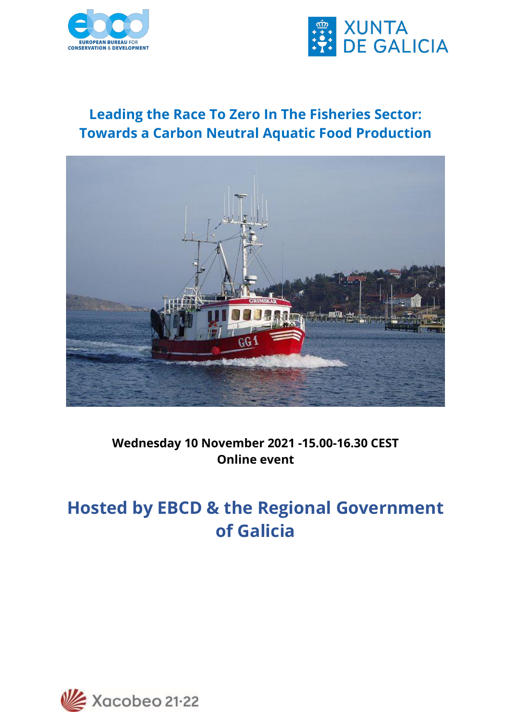



### **Leading the Race To Zero In The Fisheries Sector: Towards a Carbon Neutral Aquatic Food Production**



### **Wednesday 10 November 2021 -15.00-16.30 CEST Online event**

# **Hosted by EBCD & the Regional Government of Galicia**

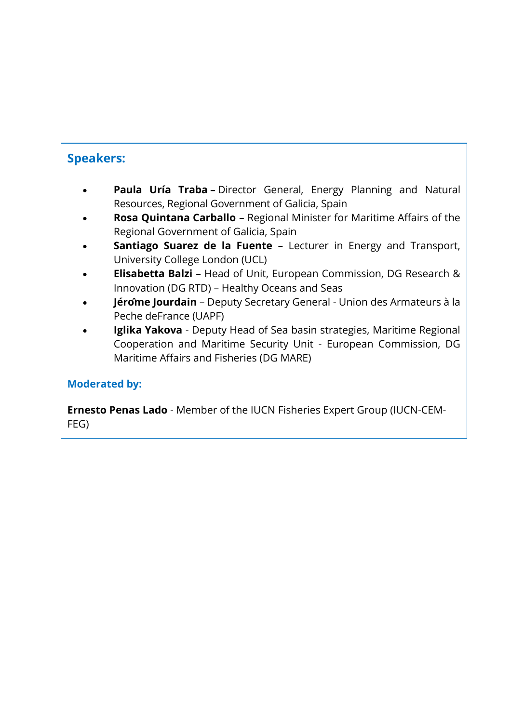### **Speakers:**

- **Paula Uría Traba –** Director General, Energy Planning and Natural Resources, Regional Government of Galicia, Spain
- **Rosa Quintana Carballo** Regional Minister for Maritime Affairs of the Regional Government of Galicia, Spain
- **Santiago Suarez de la Fuente** Lecturer in Energy and Transport, University College London (UCL)
- **Elisabetta Balzi**  Head of Unit, European Commission, DG Research & Innovation (DG RTD) – Healthy Oceans and Seas
- **Jérôme Jourdain** Deputy Secretary General Union des Armateurs à la Peche deFrance (UAPF)
- **Iglika Yakova** Deputy Head of Sea basin strategies, Maritime Regional Cooperation and Maritime Security Unit - European Commission, DG Maritime Affairs and Fisheries (DG MARE)

#### **Moderated by:**

**Ernesto Penas Lado** - Member of the IUCN Fisheries Expert Group (IUCN-CEM-FEG)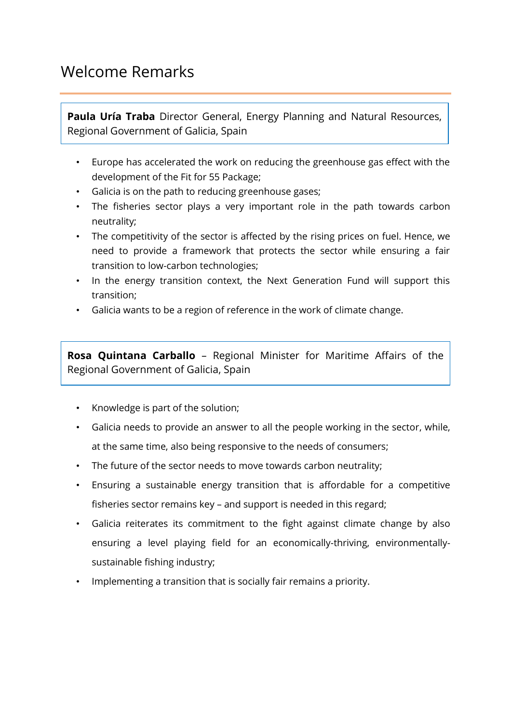### Welcome Remarks

**Paula Uría Traba** Director General, Energy Planning and Natural Resources, Regional Government of Galicia, Spain

- Europe has accelerated the work on reducing the greenhouse gas effect with the development of the Fit for 55 Package;
- Galicia is on the path to reducing greenhouse gases;
- The fisheries sector plays a very important role in the path towards carbon neutrality;
- The competitivity of the sector is affected by the rising prices on fuel. Hence, we need to provide a framework that protects the sector while ensuring a fair transition to low-carbon technologies;
- In the energy transition context, the Next Generation Fund will support this transition;
- Galicia wants to be a region of reference in the work of climate change.

**Rosa Quintana Carballo** – Regional Minister for Maritime Affairs of the Regional Government of Galicia, Spain

- Knowledge is part of the solution;
- Galicia needs to provide an answer to all the people working in the sector, while, at the same time, also being responsive to the needs of consumers;
- The future of the sector needs to move towards carbon neutrality;
- Ensuring a sustainable energy transition that is affordable for a competitive fisheries sector remains key – and support is needed in this regard;
- Galicia reiterates its commitment to the fight against climate change by also ensuring a level playing field for an economically-thriving, environmentallysustainable fishing industry;
- Implementing a transition that is socially fair remains a priority.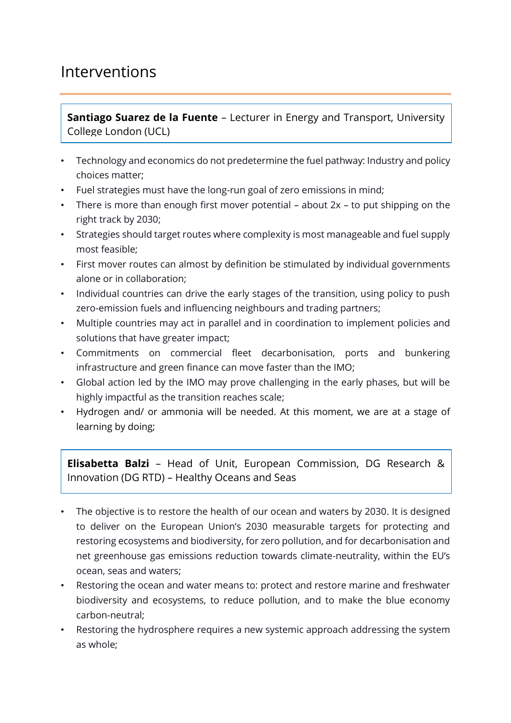### Interventions

**Santiago Suarez de la Fuente** – Lecturer in Energy and Transport, University College London (UCL)

- Technology and economics do not predetermine the fuel pathway: Industry and policy choices matter;
- Fuel strategies must have the long-run goal of zero emissions in mind;
- There is more than enough first mover potential about 2x to put shipping on the right track by 2030;
- Strategies should target routes where complexity is most manageable and fuel supply most feasible;
- First mover routes can almost by definition be stimulated by individual governments alone or in collaboration;
- Individual countries can drive the early stages of the transition, using policy to push zero-emission fuels and influencing neighbours and trading partners;
- Multiple countries may act in parallel and in coordination to implement policies and solutions that have greater impact;
- Commitments on commercial fleet decarbonisation, ports and bunkering infrastructure and green finance can move faster than the IMO;
- Global action led by the IMO may prove challenging in the early phases, but will be highly impactful as the transition reaches scale;
- Hydrogen and/ or ammonia will be needed. At this moment, we are at a stage of learning by doing;

**Elisabetta Balzi** – Head of Unit, European Commission, DG Research & Innovation (DG RTD) – Healthy Oceans and Seas

- The objective is to restore the health of our ocean and waters by 2030. It is designed to deliver on the European Union's 2030 measurable targets for protecting and restoring ecosystems and biodiversity, for zero pollution, and for decarbonisation and net greenhouse gas emissions reduction towards climate-neutrality, within the EU's ocean, seas and waters;
- Restoring the ocean and water means to: protect and restore marine and freshwater biodiversity and ecosystems, to reduce pollution, and to make the blue economy carbon-neutral;
- Restoring the hydrosphere requires a new systemic approach addressing the system as whole;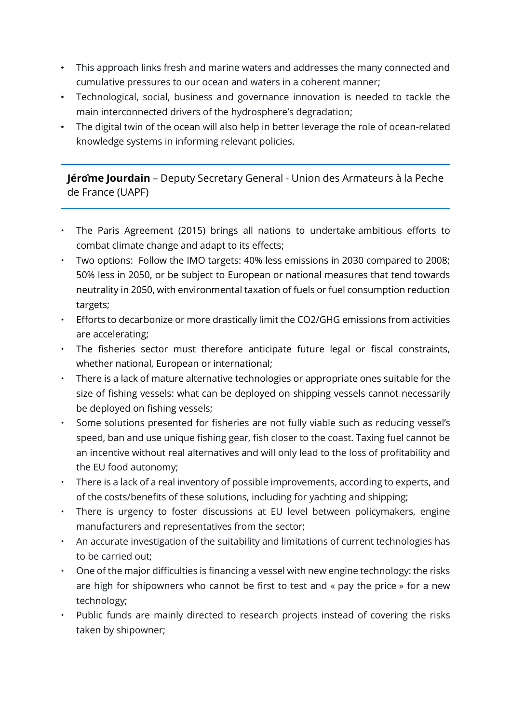- This approach links fresh and marine waters and addresses the many connected and cumulative pressures to our ocean and waters in a coherent manner;
- Technological, social, business and governance innovation is needed to tackle the main interconnected drivers of the hydrosphere's degradation;
- The digital twin of the ocean will also help in better leverage the role of ocean-related knowledge systems in informing relevant policies.

**Jérôme Jourdain** – Deputy Secretary General - Union des Armateurs à la Peche de France (UAPF)

- The Paris Agreement (2015) brings all nations to undertake ambitious efforts to combat climate change and adapt to its effects;
- Two options: Follow the IMO targets: 40% less emissions in 2030 compared to 2008; 50% less in 2050, or be subject to European or national measures that tend towards neutrality in 2050, with environmental taxation of fuels or fuel consumption reduction targets;
- Efforts to decarbonize or more drastically limit the CO2/GHG emissions from activities are accelerating;
- The fisheries sector must therefore anticipate future legal or fiscal constraints, whether national, European or international;
- There is a lack of mature alternative technologies or appropriate ones suitable for the size of fishing vessels: what can be deployed on shipping vessels cannot necessarily be deployed on fishing vessels;
- Some solutions presented for fisheries are not fully viable such as reducing vessel's speed, ban and use unique fishing gear, fish closer to the coast. Taxing fuel cannot be an incentive without real alternatives and will only lead to the loss of profitability and the EU food autonomy;
- There is a lack of a real inventory of possible improvements, according to experts, and of the costs/benefits of these solutions, including for yachting and shipping;
- There is urgency to foster discussions at EU level between policymakers, engine manufacturers and representatives from the sector;
- An accurate investigation of the suitability and limitations of current technologies has to be carried out;
- One of the major difficulties is financing a vessel with new engine technology: the risks are high for shipowners who cannot be first to test and « pay the price » for a new technology;
- Public funds are mainly directed to research projects instead of covering the risks taken by shipowner;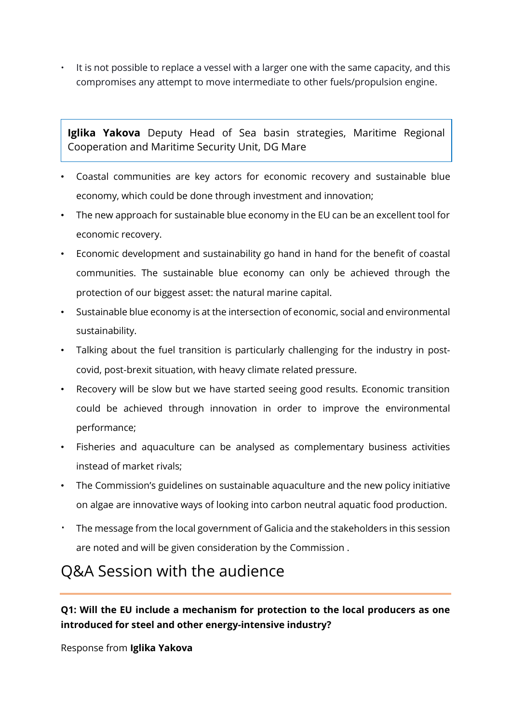It is not possible to replace a vessel with a larger one with the same capacity, and this compromises any attempt to move intermediate to other fuels/propulsion engine.

**Iglika Yakova** Deputy Head of Sea basin strategies, Maritime Regional Cooperation and Maritime Security Unit, DG Mare

- Coastal communities are key actors for economic recovery and sustainable blue economy, which could be done through investment and innovation;
- The new approach for sustainable blue economy in the EU can be an excellent tool for economic recovery.
- Economic development and sustainability go hand in hand for the benefit of coastal communities. The sustainable blue economy can only be achieved through the protection of our biggest asset: the natural marine capital.
- Sustainable blue economy is at the intersection of economic, social and environmental sustainability.
- Talking about the fuel transition is particularly challenging for the industry in postcovid, post-brexit situation, with heavy climate related pressure.
- Recovery will be slow but we have started seeing good results. Economic transition could be achieved through innovation in order to improve the environmental performance;
- Fisheries and aquaculture can be analysed as complementary business activities instead of market rivals;
- The Commission's guidelines on sustainable aquaculture and the new policy initiative on algae are innovative ways of looking into carbon neutral aquatic food production.
- · The message from the local government of Galicia and the stakeholders in this session are noted and will be given consideration by the Commission .

## Q&A Session with the audience

### **Q1: Will the EU include a mechanism for protection to the local producers as one introduced for steel and other energy-intensive industry?**

Response from **Iglika Yakova**